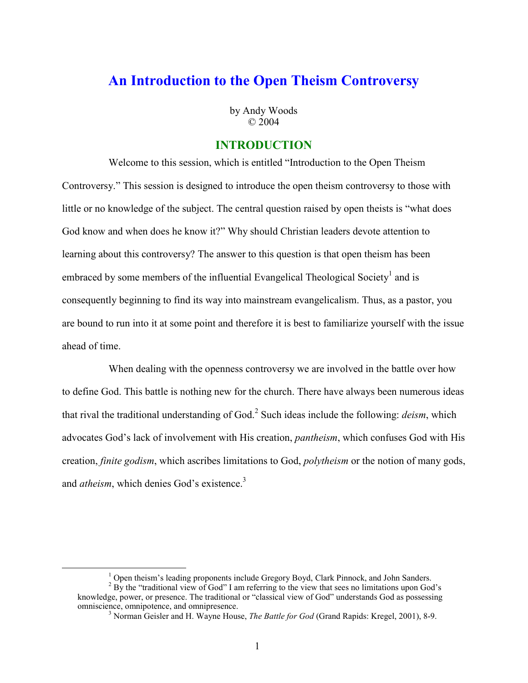# **An Introduction to the Open Theism Controversy**

by Andy Woods  $© 2004$ 

#### **INTRODUCTION**

Welcome to this session, which is entitled "Introduction to the Open Theism" Controversy." This session is designed to introduce the open theism controversy to those with little or no knowledge of the subject. The central question raised by open theists is "what does God know and when does he know it?" Why should Christian leaders devote attention to learning about this controversy? The answer to this question is that open theism has been embraced by some members of the influential Evangelical Theological Society<sup>1</sup> and is consequently beginning to find its way into mainstream evangelicalism. Thus, as a pastor, you are bound to run into it at some point and therefore it is best to familiarize yourself with the issue ahead of time.

When dealing with the openness controversy we are involved in the battle over how to define God. This battle is nothing new for the church. There have always been numerous ideas that rival the traditional understanding of God.<sup>2</sup> Such ideas include the following: *deism*, which advocates God's lack of involvement with His creation, *pantheism*, which confuses God with His creation, *finite godism*, which ascribes limitations to God, *polytheism* or the notion of many gods, and *atheism*, which denies God's existence.<sup>3</sup>

<sup>&</sup>lt;sup>1</sup> Open theism's leading proponents include Gregory Boyd, Clark Pinnock, and John Sanders.<br><sup>2</sup> By the "traditional view of God" I am referring to the view that sees no limitations upon God's

knowledge, power, or presence. The traditional or "classical view of God" understands God as possessing omniscience, omnipotence, and omnipresence.

<sup>&</sup>lt;sup>3</sup> Norman Geisler and H. Wayne House, *The Battle for God* (Grand Rapids: Kregel, 2001), 8-9.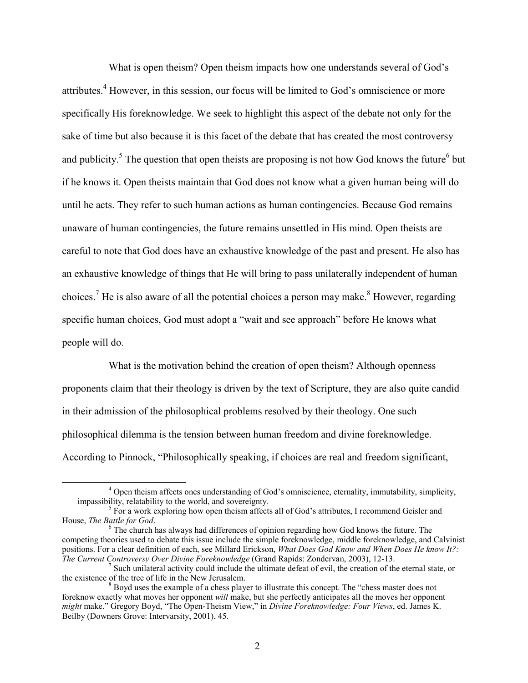What is open theism? Open theism impacts how one understands several of God's attributes.<sup>4</sup> However, in this session, our focus will be limited to God's omniscience or more specifically His foreknowledge. We seek to highlight this aspect of the debate not only for the sake of time but also because it is this facet of the debate that has created the most controversy and publicity.<sup>5</sup> The question that open theists are proposing is not how God knows the future<sup>6</sup> but if he knows it. Open theists maintain that God does not know what a given human being will do until he acts. They refer to such human actions as human contingencies. Because God remains unaware of human contingencies, the future remains unsettled in His mind. Open theists are careful to note that God does have an exhaustive knowledge of the past and present. He also has an exhaustive knowledge of things that He will bring to pass unilaterally independent of human choices.<sup>7</sup> He is also aware of all the potential choices a person may make.<sup>8</sup> However, regarding specific human choices, God must adopt a "wait and see approach" before He knows what people will do.

What is the motivation behind the creation of open theism? Although openness proponents claim that their theology is driven by the text of Scripture, they are also quite candid in their admission of the philosophical problems resolved by their theology. One such philosophical dilemma is the tension between human freedom and divine foreknowledge. According to Pinnock, "Philosophically speaking, if choices are real and freedom significant,

<sup>&</sup>lt;sup>4</sup> Open theism affects ones understanding of God's omniscience, eternality, immutability, simplicity, impassibility, relatability to the world, and sovereignty.

 $\frac{5}{5}$  For a work exploring how open theism affects all of God's attributes. I recommend Geisler and House, The Battle for God.

 $6$  The church has always had differences of opinion regarding how God knows the future. The competing theories used to debate this issue include the simple foreknowledge, middle foreknowledge, and Calvinist positions. For a clear definition of each, see Millard Erickson, What Does God Know and When Does He know It?: The Current Controversy Over Divine Foreknowledge (Grand Rapids: Zondervan, 2003), 12-13.

 $\frac{7}{1}$  Such unilateral activity could include the ultimate defeat of evil, the creation of the eternal state, or the existence of the tree of life in the New Jerusalem.<br><sup>8</sup> Boyd uses the example of a chess player to illustrate this concept. The "chess master does not

foreknow exactly what moves her opponent will make, but she perfectly anticipates all the moves her opponent might make." Gregory Boyd, "The Open-Theism View," in Divine Foreknowledge: Four Views, ed. James K. Beilby (Downers Grove: Intervarsity, 2001), 45.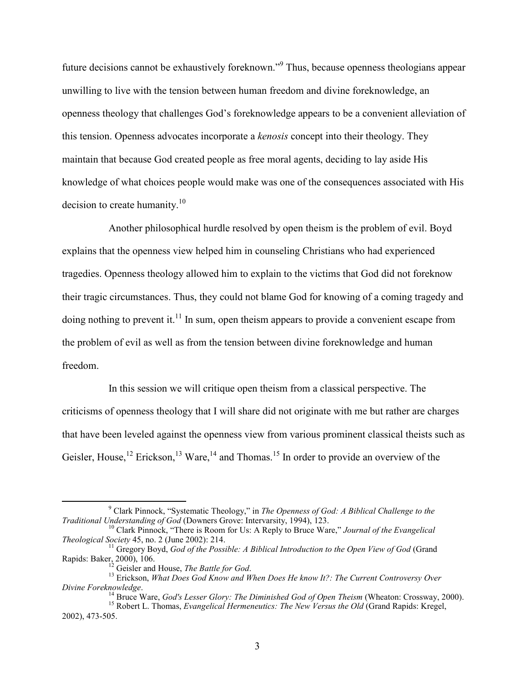future decisions cannot be exhaustively foreknown."<sup>9</sup> Thus, because openness theologians appear unwilling to live with the tension between human freedom and divine foreknowledge, an openness theology that challenges God's foreknowledge appears to be a convenient alleviation of this tension. Openness advocates incorporate a kenosis concept into their theology. They maintain that because God created people as free moral agents, deciding to lay aside His knowledge of what choices people would make was one of the consequences associated with His decision to create humanity.<sup>10</sup>

Another philosophical hurdle resolved by open theism is the problem of evil. Boyd explains that the openness view helped him in counseling Christians who had experienced tragedies. Openness theology allowed him to explain to the victims that God did not foreknow their tragic circumstances. Thus, they could not blame God for knowing of a coming tragedy and doing nothing to prevent it.<sup>11</sup> In sum, open theism appears to provide a convenient escape from the problem of evil as well as from the tension between divine foreknowledge and human freedom.

In this session we will critique open theism from a classical perspective. The criticisms of openness theology that I will share did not originate with me but rather are charges that have been leveled against the openness view from various prominent classical theists such as Geisler, House, <sup>12</sup> Erickson, <sup>13</sup> Ware, <sup>14</sup> and Thomas. <sup>15</sup> In order to provide an overview of the

 $\degree$  Clark Pinnock, "Systematic Theology," in The Openness of God: A Biblical Challenge to the Traditional Understanding of God (Downers Grove: Intervarsity, 1994), 123.

<sup>&</sup>lt;sup>10</sup> Clark Pinnock, "There is Room for Us: A Reply to Bruce Ware," Journal of the Evangelical Theological Society 45, no. 2 (June 2002): 214.

 $^{11}$  Gregory Boyd, God of the Possible: A Biblical Introduction to the Open View of God (Grand Rapids: Baker, 2000), 106.

<sup>&</sup>lt;sup>12</sup> Geisler and House, *The Battle for God*.

<sup>&</sup>lt;sup>13</sup> Erickson, What Does God Know and When Does He know It?: The Current Controversy Over Divine Foreknowledge.

<sup>&</sup>lt;sup>14</sup> Bruce Ware, *God's Lesser Glory: The Diminished God of Open Theism* (Wheaton: Crossway, 2000).

<sup>&</sup>lt;sup>15</sup> Robert L. Thomas, Evangelical Hermeneutics: The New Versus the Old (Grand Rapids: Kregel, 2002), 473-505.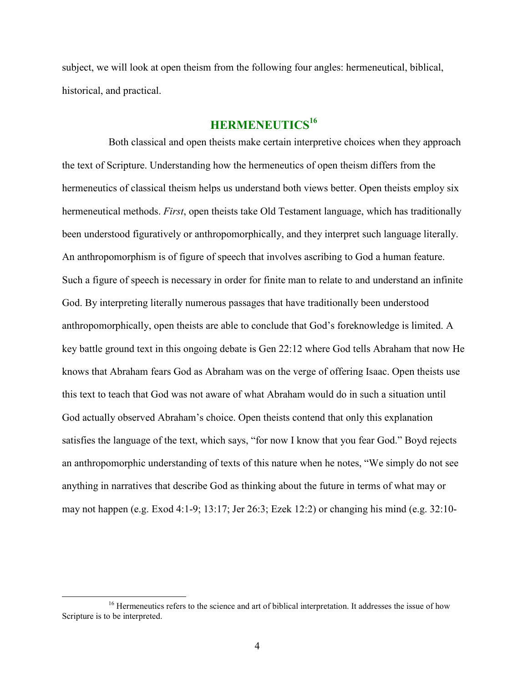subject, we will look at open theism from the following four angles: hermeneutical, biblical, historical, and practical.

## **HERMENEUTICS**<sup>16</sup>

Both classical and open theists make certain interpretive choices when they approach the text of Scripture. Understanding how the hermeneutics of open theism differs from the hermeneutics of classical theism helps us understand both views better. Open theists employ six hermeneutical methods. First, open theists take Old Testament language, which has traditionally been understood figuratively or anthropomorphically, and they interpret such language literally. An anthropomorphism is of figure of speech that involves ascribing to God a human feature. Such a figure of speech is necessary in order for finite man to relate to and understand an infinite God. By interpreting literally numerous passages that have traditionally been understood anthropomorphically, open theists are able to conclude that God's foreknowledge is limited. A key battle ground text in this ongoing debate is Gen 22:12 where God tells Abraham that now He knows that Abraham fears God as Abraham was on the verge of offering Isaac. Open theists use this text to teach that God was not aware of what Abraham would do in such a situation until God actually observed Abraham's choice. Open theists contend that only this explanation satisfies the language of the text, which says, "for now I know that you fear God." Boyd rejects an anthropomorphic understanding of texts of this nature when he notes, "We simply do not see anything in narratives that describe God as thinking about the future in terms of what may or may not happen (e.g. Exod 4:1-9; 13:17; Jer 26:3; Ezek 12:2) or changing his mind (e.g.  $32:10-$ 

<sup>&</sup>lt;sup>16</sup> Hermeneutics refers to the science and art of biblical interpretation. It addresses the issue of how Scripture is to be interpreted.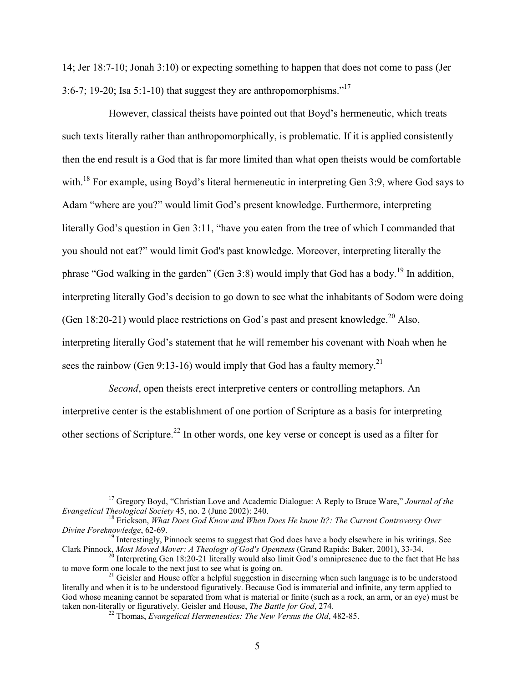14; Jer 18:7-10; Jonah 3:10) or expecting something to happen that does not come to pass (Jer 3:6-7; 19-20; Isa 5:1-10) that suggest they are anthropomorphisms."<sup>17</sup>

However, classical theists have pointed out that Boyd's hermeneutic, which treats such texts literally rather than anthropomorphically, is problematic. If it is applied consistently then the end result is a God that is far more limited than what open theists would be comfortable with.<sup>18</sup> For example, using Boyd's literal hermeneutic in interpreting Gen 3:9, where God says to Adam "where are you?" would limit God's present knowledge. Furthermore, interpreting literally God's question in Gen 3:11, "have you eaten from the tree of which I commanded that you should not eat?" would limit God's past knowledge. Moreover, interpreting literally the phrase "God walking in the garden" (Gen 3:8) would imply that God has a body.<sup>19</sup> In addition, interpreting literally God's decision to go down to see what the inhabitants of Sodom were doing (Gen 18:20-21) would place restrictions on God's past and present knowledge.<sup>20</sup> Also, interpreting literally God's statement that he will remember his covenant with Noah when he sees the rainbow (Gen 9:13-16) would imply that God has a faulty memory.<sup>21</sup>

Second, open theists erect interpretive centers or controlling metaphors. An interpretive center is the establishment of one portion of Scripture as a basis for interpreting other sections of Scripture.<sup>22</sup> In other words, one key verse or concept is used as a filter for

<sup>&</sup>lt;sup>17</sup> Gregory Boyd, "Christian Love and Academic Dialogue: A Reply to Bruce Ware," Journal of the Evangelical Theological Society 45, no. 2 (June 2002): 240.

<sup>&</sup>lt;sup>18</sup> Erickson, *What Does God Know and When Does He know It?: The Current Controversy Over* Divine Foreknowledge, 62-69.

<sup>&</sup>lt;sup>9</sup> Interestingly, Pinnock seems to suggest that God does have a body elsewhere in his writings. See Clark Pinnock, Most Moved Mover: A Theology of God's Openness (Grand Rapids: Baker, 2001), 33-34.

<sup>&</sup>lt;sup>20</sup> Interpreting Gen 18:20-21 literally would also limit God's omnipresence due to the fact that He has to move form one locale to the next just to see what is going on.

<sup>&</sup>lt;sup>21</sup> Geisler and House offer a helpful suggestion in discerning when such language is to be understood literally and when it is to be understood figuratively. Because God is immaterial and infinite, any term applied to God whose meaning cannot be separated from what is material or finite (such as a rock, an arm, or an eye) must be taken non-literally or figuratively. Geisler and House, The Battle for God, 274.

 $^{22}$  Thomas, Evangelical Hermeneutics: The New Versus the Old, 482-85.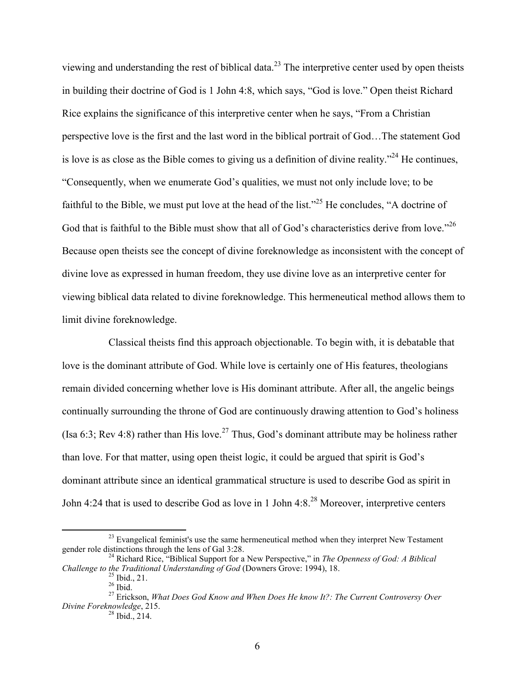viewing and understanding the rest of biblical data.<sup>23</sup> The interpretive center used by open theists in building their doctrine of God is 1 John 4.8, which says, "God is love." Open theist Richard Rice explains the significance of this interpretive center when he says, "From a Christian" perspective love is the first and the last word in the biblical portrait of God...The statement God is love is as close as the Bible comes to giving us a definition of divine reality."<sup>24</sup> He continues, "Consequently, when we enumerate God's qualities, we must not only include love; to be faithful to the Bible, we must put love at the head of the list."<sup>25</sup> He concludes, "A doctrine of God that is faithful to the Bible must show that all of God's characteristics derive from love."<sup>26</sup> Because open theists see the concept of divine foreknowledge as inconsistent with the concept of divine love as expressed in human freedom, they use divine love as an interpretive center for viewing biblical data related to divine foreknowledge. This hermeneutical method allows them to limit divine foreknowledge.

Classical theists find this approach objectionable. To begin with, it is debatable that love is the dominant attribute of God. While love is certainly one of His features, theologians remain divided concerning whether love is His dominant attribute. After all, the angelic beings continually surrounding the throne of God are continuously drawing attention to God's holiness (Isa 6:3; Rev 4:8) rather than His love.<sup>27</sup> Thus, God's dominant attribute may be holiness rather than love. For that matter, using open theist logic, it could be argued that spirit is God's dominant attribute since an identical grammatical structure is used to describe God as spirit in John 4:24 that is used to describe God as love in 1 John 4:8.<sup>28</sup> Moreover, interpretive centers

<sup>&</sup>lt;sup>23</sup> Evangelical feminist's use the same hermeneutical method when they interpret New Testament gender role distinctions through the lens of Gal 3:28.

<sup>&</sup>lt;sup>24</sup> Richard Rice, "Biblical Support for a New Perspective," in *The Openness of God: A Biblical* Challenge to the Traditional Understanding of God (Downers Grove: 1994), 18.

 $\frac{25}{26}$  Ibid., 21.

<sup>&</sup>lt;sup>27</sup> Erickson, *What Does God Know and When Does He know It?*: *The Current Controversy Over* Divine Foreknowledge, 215.

 $28$  Ibid., 214.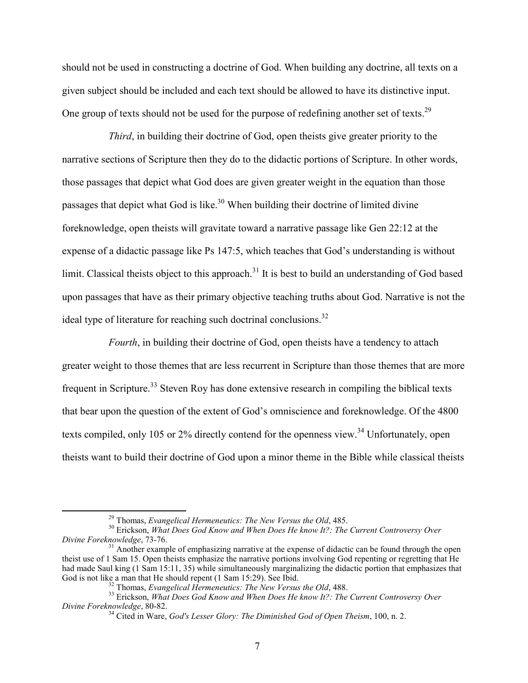should not be used in constructing a doctrine of God. When building any doctrine, all texts on a given subject should be included and each text should be allowed to have its distinctive input. One group of texts should not be used for the purpose of redefining another set of texts.<sup>29</sup>

*Third*, in building their doctrine of God, open theists give greater priority to the narrative sections of Scripture then they do to the didactic portions of Scripture. In other words, those passages that depict what God does are given greater weight in the equation than those passages that depict what God is like.<sup>30</sup> When building their doctrine of limited divine foreknowledge, open theists will gravitate toward a narrative passage like Gen 22:12 at the expense of a didactic passage like Ps 147:5, which teaches that God's understanding is without limit. Classical theists object to this approach.<sup>31</sup> It is best to build an understanding of God based upon passages that have as their primary objective teaching truths about God. Narrative is not the ideal type of literature for reaching such doctrinal conclusions.<sup>32</sup>

*Fourth*, in building their doctrine of God, open theists have a tendency to attach greater weight to those themes that are less recurrent in Scripture than those themes that are more frequent in Scripture.<sup>33</sup> Steven Roy has done extensive research in compiling the biblical texts that bear upon the question of the extent of God's omniscience and foreknowledge. Of the 4800 texts compiled, only 105 or 2% directly contend for the openness view.<sup>34</sup> Unfortunately, open theists want to build their doctrine of God upon a minor theme in the Bible while classical theists

 $^{29}$  Thomas, *Evangelical Hermeneutics: The New Versus the Old*, 485.

<sup>&</sup>lt;sup>30</sup> Erickson, What Does God Know and When Does He know It?: The Current Controversy Over Divine Foreknowledge, 73-76.

<sup>&</sup>lt;sup>31</sup> Another example of emphasizing narrative at the expense of didactic can be found through the open theist use of 1 Sam 15. Open theists emphasize the narrative portions involving God repenting or regretting that He had made Saul king (1 Sam 15:11, 35) while simultaneously marginalizing the didactic portion that emphasizes that God is not like a man that He should repent (1 Sam 15:29). See Ibid.

 $32$  Thomas, Evangelical Hermeneutics: The New Versus the Old, 488.

<sup>&</sup>lt;sup>33</sup> Erickson, *What Does God Know and When Does He know It?*: *The Current Controversy Over* Divine Foreknowledge, 80-82.

 $34$  Cited in Ware, God's Lesser Glory: The Diminished God of Open Theism, 100, n. 2.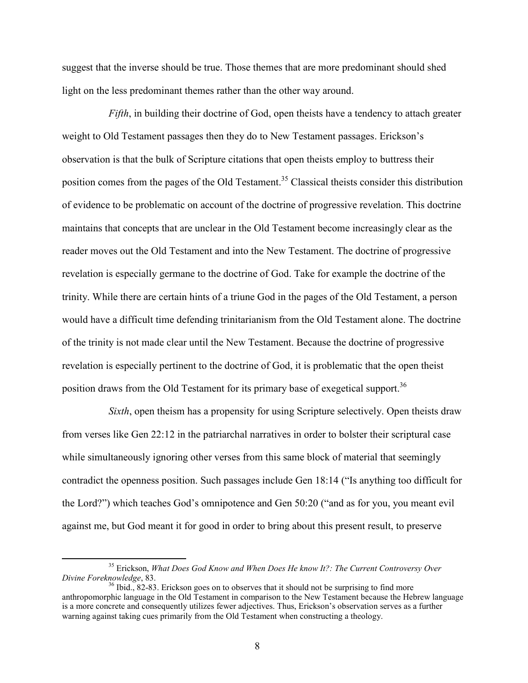suggest that the inverse should be true. Those themes that are more predominant should shed light on the less predominant themes rather than the other way around.

*Fifth*, in building their doctrine of God, open theists have a tendency to attach greater weight to Old Testament passages then they do to New Testament passages. Erickson's observation is that the bulk of Scripture citations that open theirsts employ to buttress their position comes from the pages of the Old Testament.<sup>35</sup> Classical theists consider this distribution of evidence to be problematic on account of the doctrine of progressive revelation. This doctrine maintains that concepts that are unclear in the Old Testament become increasingly clear as the reader moves out the Old Testament and into the New Testament. The doctrine of progressive revelation is especially germane to the doctrine of God. Take for example the doctrine of the trinity. While there are certain hints of a triune God in the pages of the Old Testament, a person would have a difficult time defending trinitarianism from the Old Testament alone. The doctrine of the trinity is not made clear until the New Testament. Because the doctrine of progressive revelation is especially pertinent to the doctrine of God, it is problematic that the open theist position draws from the Old Testament for its primary base of exegetical support.<sup>36</sup>

Sixth, open theism has a propensity for using Scripture selectively. Open theists draw from verses like Gen 22:12 in the patriarchal narratives in order to bolster their scriptural case while simultaneously ignoring other verses from this same block of material that seemingly contradict the openness position. Such passages include Gen 18:14 ("Is anything too difficult for the Lord?") which teaches God's omnipotence and Gen 50:20 ("and as for you, you meant evil against me, but God meant it for good in order to bring about this present result, to preserve

<sup>&</sup>lt;sup>35</sup> Erickson, *What Does God Know and When Does He know It?: The Current Controversy Over* Divine Foreknowledge, 83.

 $\frac{36}{10}$  Ibid., 82-83. Erickson goes on to observes that it should not be surprising to find more anthropomorphic language in the Old Testament in comparison to the New Testament because the Hebrew language is a more concrete and consequently utilizes fewer adjectives. Thus, Erickson's observation serves as a further warning against taking cues primarily from the Old Testament when constructing a theology.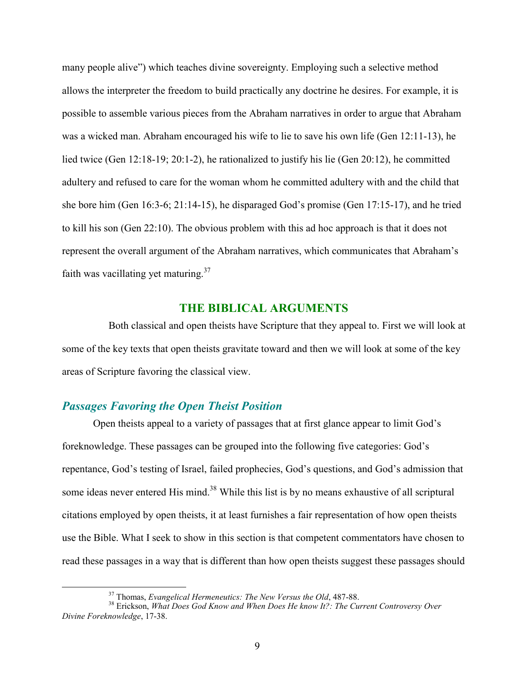many people alive") which teaches divine sovereignty. Employing such a selective method allows the interpreter the freedom to build practically any doctrine he desires. For example, it is possible to assemble various pieces from the Abraham narratives in order to argue that Abraham was a wicked man. Abraham encouraged his wife to lie to save his own life (Gen 12:11-13), he lied twice (Gen  $12:18-19$ ;  $20:1-2$ ), he rationalized to justify his lie (Gen  $20:12$ ), he committed adultery and refused to care for the woman whom he committed adultery with and the child that she bore him (Gen  $16:3-6$ ;  $21:14-15$ ), he disparaged God's promise (Gen  $17:15-17$ ), and he tried to kill his son (Gen 22:10). The obvious problem with this ad hoc approach is that it does not represent the overall argument of the Abraham narratives, which communicates that Abraham's faith was vacillating yet maturing.<sup>37</sup>

#### **THE BIBLICAL ARGUMENTS**

Both classical and open theists have Scripture that they appeal to. First we will look at some of the key texts that open theists gravitate toward and then we will look at some of the key areas of Scripture favoring the classical view.

#### **Passages Favoring the Open Theist Position**

Open theists appeal to a variety of passages that at first glance appear to limit God's foreknowledge. These passages can be grouped into the following five categories: God's repentance, God's testing of Israel, failed prophecies, God's questions, and God's admission that some ideas never entered His mind.<sup>38</sup> While this list is by no means exhaustive of all scriptural citations employed by open theists, it at least furnishes a fair representation of how open theists use the Bible. What I seek to show in this section is that competent commentators have chosen to read these passages in a way that is different than how open theists suggest these passages should

<sup>&</sup>lt;sup>37</sup> Thomas, *Evangelical Hermeneutics: The New Versus the Old*, 487-88.<br><sup>38</sup> Erickson, *What Does God Know and When Does He know It?: The Current Controversy Over* Divine Foreknowledge, 17-38.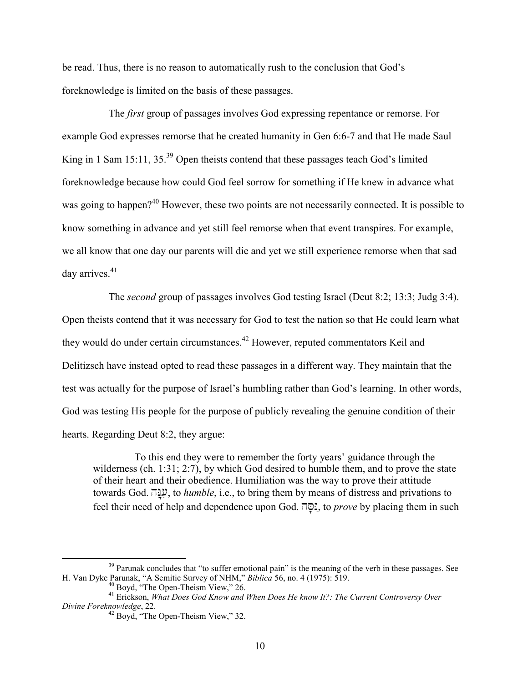be read. Thus, there is no reason to automatically rush to the conclusion that God's foreknowledge is limited on the basis of these passages.

The *first* group of passages involves God expressing repentance or remorse. For example God expresses remorse that he created humanity in Gen 6:6-7 and that He made Saul King in 1 Sam  $15:11$ ,  $35.^{39}$  Open theists contend that these passages teach God's limited foreknowledge because how could God feel sorrow for something if He knew in advance what was going to happen?<sup>40</sup> However, these two points are not necessarily connected. It is possible to know something in advance and yet still feel remorse when that event transpires. For example, we all know that one day our parents will die and yet we still experience remorse when that sad day arrives.<sup>41</sup>

The second group of passages involves God testing Israel (Deut 8:2; 13:3; Judg 3:4). Open theists contend that it was necessary for God to test the nation so that He could learn what they would do under certain circumstances.<sup>42</sup> However, reputed commentators Keil and Delitizsch have instead opted to read these passages in a different way. They maintain that the test was actually for the purpose of Israel's humbling rather than God's learning. In other words, God was testing His people for the purpose of publicly revealing the genuine condition of their hearts. Regarding Deut 8:2, they argue:

To this end they were to remember the forty years' guidance through the wilderness (ch. 1:31; 2:7), by which God desired to humble them, and to prove the state of their heart and their obedience. Humiliation was the way to prove their attitude towards God. ענה, to *humble*, i.e., to bring them by means of distress and privations to feel their need of help and dependence upon God.  $\overline{1Q}$ , to *prove* by placing them in such

<sup>&</sup>lt;sup>39</sup> Parunak concludes that "to suffer emotional pain" is the meaning of the verb in these passages. See H. Van Dyke Parunak, "A Semitic Survey of NHM," Biblica 56, no. 4 (1975): 519.<br><sup>40</sup> Boyd, "The Open-Theism View," 26.<br><sup>41</sup> Erickson, *What Does God Know and When Does He know It?: The Current Controversy Over* 

Divine Foreknowledge, 22.

<sup>&</sup>lt;sup>42</sup> Boyd, "The Open-Theism View," 32.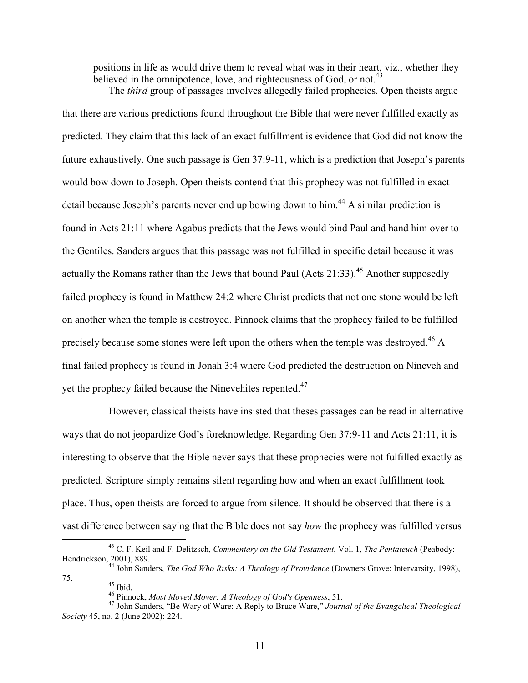positions in life as would drive them to reveal what was in their heart, viz., whether they believed in the omnipotence, love, and righteousness of God, or not. The *third* group of passages involves allegedly failed prophecies. Open theists argue

that there are various predictions found throughout the Bible that were never fulfilled exactly as predicted. They claim that this lack of an exact fulfillment is evidence that God did not know the future exhaustively. One such passage is Gen 37:9-11, which is a prediction that Joseph's parents would bow down to Joseph. Open theists contend that this prophecy was not fulfilled in exact detail because Joseph's parents never end up bowing down to him.<sup>44</sup> A similar prediction is found in Acts 21:11 where Agabus predicts that the Jews would bind Paul and hand him over to the Gentiles. Sanders argues that this passage was not fulfilled in specific detail because it was actually the Romans rather than the Jews that bound Paul (Acts 21:33).<sup>45</sup> Another supposedly failed prophecy is found in Matthew 24:2 where Christ predicts that not one stone would be left on another when the temple is destroyed. Pinnock claims that the prophecy failed to be fulfilled precisely because some stones were left upon the others when the temple was destroyed.<sup>46</sup> A final failed prophecy is found in Jonah 3:4 where God predicted the destruction on Nineveh and yet the prophecy failed because the Ninevehites repented.<sup>47</sup>

However, classical theists have insisted that theses passages can be read in alternative ways that do not jeopardize God's foreknowledge. Regarding Gen 37:9-11 and Acts 21:11, it is interesting to observe that the Bible never says that these prophecies were not fulfilled exactly as predicted. Scripture simply remains silent regarding how and when an exact fulfillment took place. Thus, open theists are forced to argue from silence. It should be observed that there is a vast difference between saying that the Bible does not say how the prophecy was fulfilled versus

<sup>46</sup> Pinnock, Most Moved Mover: A Theology of God's Openness, 51.

 $^{43}$  C. F. Keil and F. Delitzsch, *Commentary on the Old Testament*, Vol. 1, *The Pentateuch* (Peabody: Hendrickson, 2001), 889.

<sup>&</sup>lt;sup>44</sup> John Sanders, *The God Who Risks: A Theology of Providence* (Downers Grove: Intervarsity, 1998), 75.  $45$  Ibid.

<sup>&</sup>lt;sup>47</sup> John Sanders, "Be Wary of Ware: A Reply to Bruce Ware," Journal of the Evangelical Theological Society 45, no. 2 (June 2002): 224.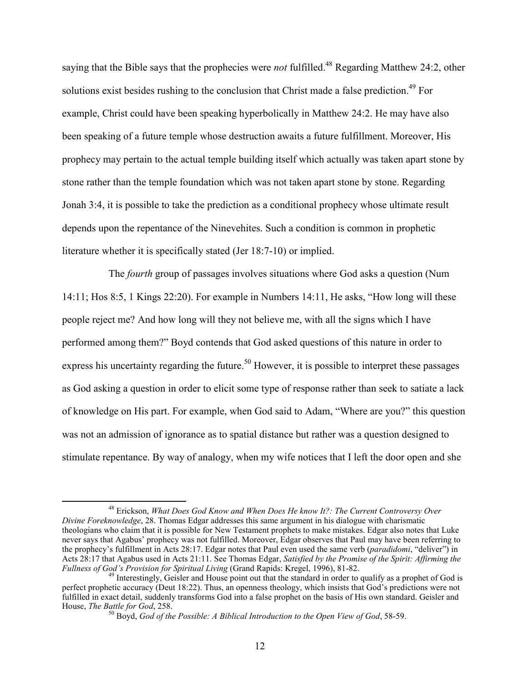saying that the Bible says that the prophecies were *not* fulfilled.<sup>48</sup> Regarding Matthew 24:2, other solutions exist besides rushing to the conclusion that Christ made a false prediction.<sup>49</sup> For example, Christ could have been speaking hyperbolically in Matthew 24:2. He may have also been speaking of a future temple whose destruction awaits a future fulfillment. Moreover, His prophecy may pertain to the actual temple building itself which actually was taken apart stone by stone rather than the temple foundation which was not taken apart stone by stone. Regarding Jonah 3:4, it is possible to take the prediction as a conditional prophecy whose ultimate result depends upon the repentance of the Ninevehites. Such a condition is common in prophetic literature whether it is specifically stated (Jer 18:7-10) or implied.

The *fourth* group of passages involves situations where God asks a question (Num 14:11; Hos 8:5, 1 Kings 22:20). For example in Numbers 14:11, He asks, "How long will these people reject me? And how long will they not believe me, with all the signs which I have performed among them?" Boyd contends that God asked questions of this nature in order to express his uncertainty regarding the future.<sup>50</sup> However, it is possible to interpret these passages as God asking a question in order to elicit some type of response rather than seek to satiate a lack of knowledge on His part. For example, when God said to Adam, "Where are you?" this question was not an admission of ignorance as to spatial distance but rather was a question designed to stimulate repentance. By way of analogy, when my wife notices that I left the door open and she

<sup>&</sup>lt;sup>48</sup> Erickson, What Does God Know and When Does He know It?: The Current Controversy Over Divine Foreknowledge, 28. Thomas Edgar addresses this same argument in his dialogue with charismatic theologians who claim that it is possible for New Testament prophets to make mistakes. Edgar also notes that Luke never says that Agabus' prophecy was not fulfilled. Moreover, Edgar observes that Paul may have been referring to the prophecy's fulfillment in Acts 28:17. Edgar notes that Paul even used the same verb (paradidomi, "deliver") in Acts 28:17 that Agabus used in Acts 21:11. See Thomas Edgar, Satisfied by the Promise of the Spirit: Affirming the Fullness of God's Provision for Spiritual Living (Grand Rapids: Kregel, 1996), 81-82.

<sup>&</sup>lt;sup>49</sup> Interestingly, Geisler and House point out that the standard in order to qualify as a prophet of God is perfect prophetic accuracy (Deut 18:22). Thus, an openness theology, which insists that God's predictions were not fulfilled in exact detail, suddenly transforms God into a false prophet on the basis of His own standard. Geisler and House, The Battle for God, 258.

 $^{50}$  Boyd, God of the Possible: A Biblical Introduction to the Open View of God, 58-59.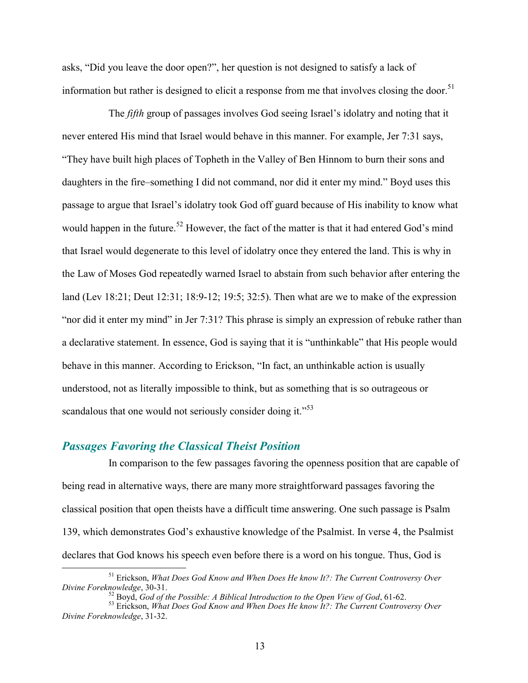asks, "Did you leave the door open?", her question is not designed to satisfy a lack of information but rather is designed to elicit a response from me that involves closing the door.<sup>51</sup>

The fifth group of passages involves God seeing Israel's idolatry and noting that it never entered His mind that Israel would behave in this manner. For example, Jer 7:31 says, "They have built high places of Topheth in the Valley of Ben Hinnom to burn their sons and daughters in the fire-something I did not command, nor did it enter my mind." Boyd uses this passage to argue that Israel's idolatry took God off guard because of His inability to know what would happen in the future.<sup>52</sup> However, the fact of the matter is that it had entered God's mind that Israel would degenerate to this level of idolatry once they entered the land. This is why in the Law of Moses God repeatedly warned Israel to abstain from such behavior after entering the land (Lev 18:21; Deut 12:31; 18:9-12; 19:5; 32:5). Then what are we to make of the expression "nor did it enter my mind" in Jer 7:31? This phrase is simply an expression of rebuke rather than a declarative statement. In essence, God is saying that it is "unthinkable" that His people would behave in this manner. According to Erickson, "In fact, an unthinkable action is usually understood, not as literally impossible to think, but as something that is so outrageous or scandalous that one would not seriously consider doing it."<sup>53</sup>

#### **Passages Favoring the Classical Theist Position**

In comparison to the few passages favoring the openness position that are capable of being read in alternative ways, there are many more straightforward passages favoring the classical position that open theists have a difficult time answering. One such passage is Psalm 139, which demonstrates God's exhaustive knowledge of the Psalmist. In verse 4, the Psalmist declares that God knows his speech even before there is a word on his tongue. Thus, God is

<sup>&</sup>lt;sup>51</sup> Erickson, What Does God Know and When Does He know It?: The Current Controversy Over Divine Foreknowledge, 30-31.

 $\frac{52}{2}$  Bovd, God of the Possible: A Biblical Introduction to the Open View of God, 61-62.

<sup>&</sup>lt;sup>53</sup> Erickson, What Does God Know and When Does He know It?: The Current Controversy Over Divine Foreknowledge, 31-32.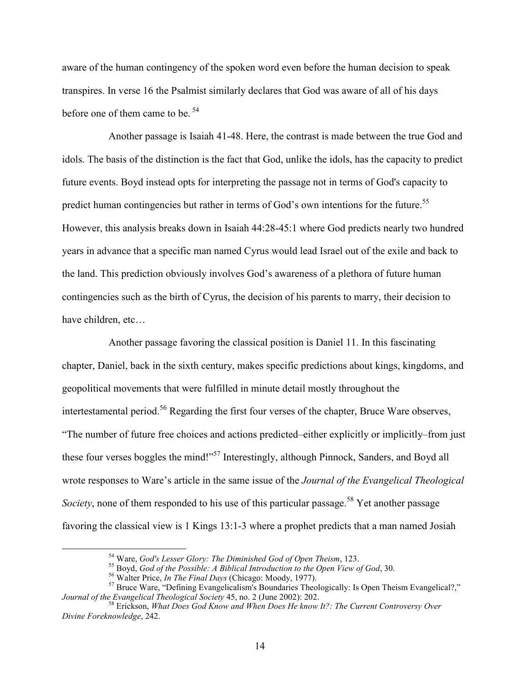aware of the human contingency of the spoken word even before the human decision to speak transpires. In verse 16 the Psalmist similarly declares that God was aware of all of his days before one of them came to be.  $54$ 

Another passage is Isaiah 41-48. Here, the contrast is made between the true God and idols. The basis of the distinction is the fact that God, unlike the idols, has the capacity to predict future events. Boyd instead opts for interpreting the passage not in terms of God's capacity to predict human contingencies but rather in terms of God's own intentions for the future.<sup>55</sup> However, this analysis breaks down in Isaiah 44:28-45:1 where God predicts nearly two hundred years in advance that a specific man named Cyrus would lead Israel out of the exile and back to the land. This prediction obviously involves God's awareness of a plethora of future human contingencies such as the birth of Cyrus, the decision of his parents to marry, their decision to have children, etc...

Another passage favoring the classical position is Daniel 11. In this fascinating chapter, Daniel, back in the sixth century, makes specific predictions about kings, kingdoms, and geopolitical movements that were fulfilled in minute detail mostly throughout the intertestamental period.<sup>56</sup> Regarding the first four verses of the chapter, Bruce Ware observes, "The number of future free choices and actions predicted-either explicitly or implicitly-from just these four verses boggles the mind!"<sup>57</sup> Interestingly, although Pinnock, Sanders, and Boyd all wrote responses to Ware's article in the same issue of the *Journal of the Evangelical Theological Society*, none of them responded to his use of this particular passage.<sup>58</sup> Yet another passage favoring the classical view is 1 Kings 13:1-3 where a prophet predicts that a man named Josiah

<sup>&</sup>lt;sup>54</sup> Ware, God's Lesser Glory: The Diminished God of Open Theism, 123.

 $55$  Boyd, God of the Possible: A Biblical Introduction to the Open View of God, 30.

<sup>&</sup>lt;sup>56</sup> Walter Price, *In The Final Days* (Chicago: Moody, 1977).

Sournal of the Evangelical Theological Society 45, no. 2 (June 2002): 202.<br>Journal of the Evangelical Theological Society 45, no. 2 (June 2002): 202.

<sup>&</sup>lt;sup>58</sup> Erickson, What Does God Know and When Does He know It?: The Current Controversy Over Divine Foreknowledge, 242.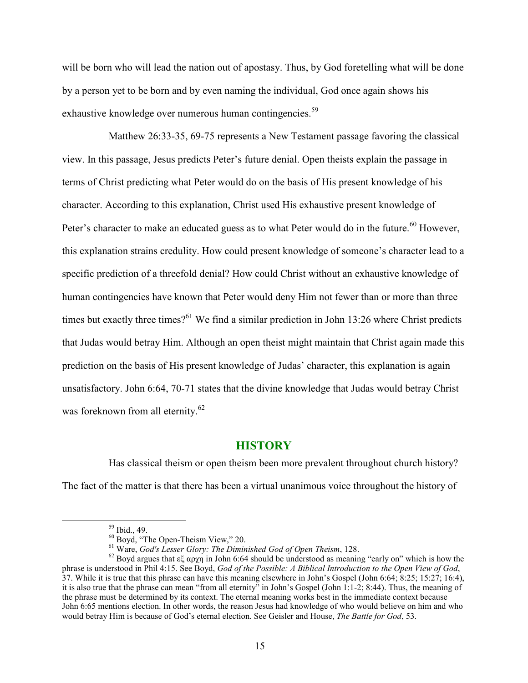will be born who will lead the nation out of apostasy. Thus, by God foretelling what will be done by a person yet to be born and by even naming the individual, God once again shows his exhaustive knowledge over numerous human contingencies.<sup>59</sup>

Matthew 26:33-35, 69-75 represents a New Testament passage favoring the classical view. In this passage, Jesus predicts Peter's future denial. Open theists explain the passage in terms of Christ predicting what Peter would do on the basis of His present knowledge of his character. According to this explanation, Christ used His exhaustive present knowledge of Peter's character to make an educated guess as to what Peter would do in the future.<sup>60</sup> However, this explanation strains credulity. How could present knowledge of someone's character lead to a specific prediction of a threefold denial? How could Christ without an exhaustive knowledge of human contingencies have known that Peter would deny Him not fewer than or more than three times but exactly three times?<sup>61</sup> We find a similar prediction in John 13:26 where Christ predicts that Judas would betray Him. Although an open theist might maintain that Christ again made this prediction on the basis of His present knowledge of Judas' character, this explanation is again unsatisfactory. John 6:64, 70-71 states that the divine knowledge that Judas would betray Christ was foreknown from all eternity.<sup>62</sup>

#### **HISTORY**

Has classical theism or open theism been more prevalent throughout church history? The fact of the matter is that there has been a virtual unanimous voice throughout the history of

 $59$  Ibid., 49.

<sup>&</sup>lt;sup>60</sup> Boyd, "The Open-Theism View," 20.

<sup>&</sup>lt;sup>61</sup> Ware, God's Lesser Glory: The Diminished God of Open Theism, 128.

<sup>&</sup>lt;sup>62</sup> Boyd argues that εξ αρχή in John 6:64 should be understood as meaning "early on" which is how the phrase is understood in Phil 4:15. See Boyd, God of the Possible: A Biblical Introduction to the Open View of God, 37. While it is true that this phrase can have this meaning elsewhere in John's Gospel (John  $6:64$ ;  $8:25$ ;  $15:27$ ;  $16:4$ ), it is also true that the phrase can mean "from all eternity" in John's Gospel (John 1:1-2; 8:44). Thus, the meaning of the phrase must be determined by its context. The eternal meaning works best in the immediate context because John 6:65 mentions election. In other words, the reason Jesus had knowledge of who would believe on him and who would betray Him is because of God's eternal election. See Geisler and House, The Battle for God, 53.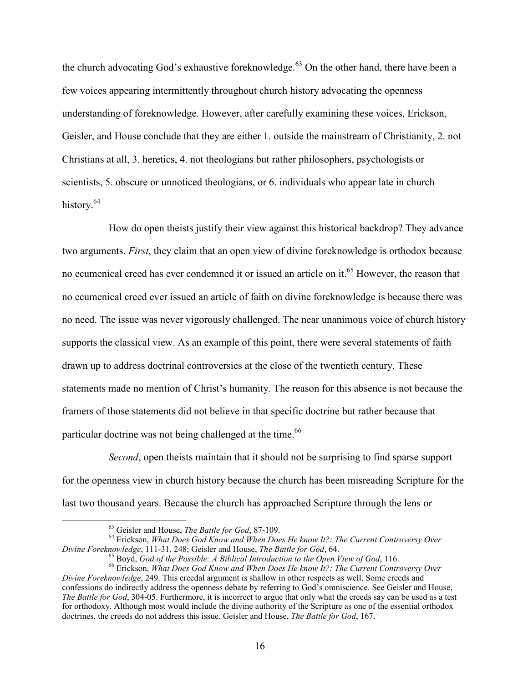the church advocating God's exhaustive foreknowledge.<sup>63</sup> On the other hand, there have been a few voices appearing intermittently throughout church history advocating the openness understanding of foreknowledge. However, after carefully examining these voices, Erickson, Geisler, and House conclude that they are either 1. outside the mainstream of Christianity, 2. not Christians at all, 3. heretics, 4. not theologians but rather philosophers, psychologists or scientists, 5. obscure or unnoticed theologians, or 6. individuals who appear late in church history.<sup>64</sup>

How do open theists justify their view against this historical backdrop? They advance two arguments. First, they claim that an open view of divine foreknowledge is orthodox because no ecumenical creed has ever condemned it or issued an article on it.<sup>65</sup> However, the reason that no ecumenical creed ever issued an article of faith on divine foreknowledge is because there was no need. The issue was never vigorously challenged. The near unanimous voice of church history supports the classical view. As an example of this point, there were several statements of faith drawn up to address doctrinal controversies at the close of the twentieth century. These statements made no mention of Christ's humanity. The reason for this absence is not because the framers of those statements did not believe in that specific doctrine but rather because that particular doctrine was not being challenged at the time.<sup>66</sup>

Second, open theists maintain that it should not be surprising to find sparse support for the openness view in church history because the church has been misreading Scripture for the last two thousand years. Because the church has approached Scripture through the lens or

<sup>&</sup>lt;sup>63</sup> Geisler and House, *The Battle for God*, 87-109.

 $64$  Erickson, What Does God Know and When Does He know It?: The Current Controversy Over Divine Foreknowledge, 111-31, 248; Geisler and House, The Battle for God, 64.

 $^{65}$  Boyd, God of the Possible: A Biblical Introduction to the Open View of God, 116.

<sup>&</sup>lt;sup>66</sup> Erickson, What Does God Know and When Does He know It?: The Current Controversy Over Divine Foreknowledge, 249. This creedal argument is shallow in other respects as well. Some creeds and confessions do indirectly address the openness debate by referring to God's omniscience. See Geisler and House, The Battle for God, 304-05. Furthermore, it is incorrect to argue that only what the creeds say can be used as a test for orthodoxy. Although most would include the divine authority of the Scripture as one of the essential orthodox doctrines, the creeds do not address this issue. Geisler and House, *The Battle for God*, 167.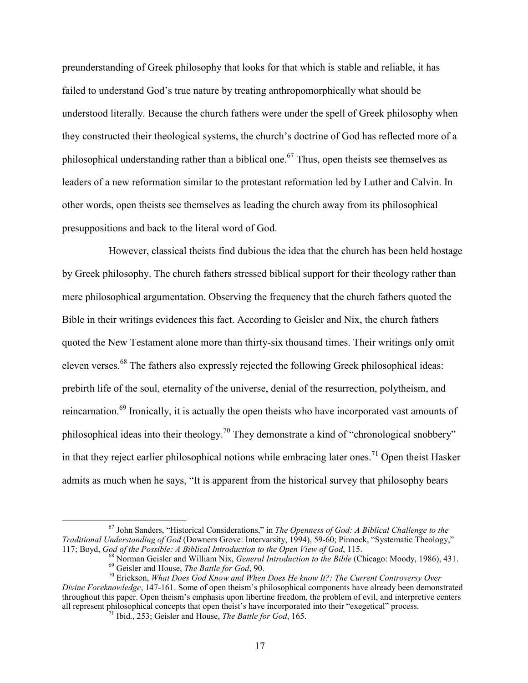preunderstanding of Greek philosophy that looks for that which is stable and reliable, it has failed to understand God's true nature by treating anthropomorphically what should be understood literally. Because the church fathers were under the spell of Greek philosophy when they constructed their theological systems, the church's doctrine of God has reflected more of a philosophical understanding rather than a biblical one.<sup>67</sup> Thus, open theists see themselves as leaders of a new reformation similar to the protestant reformation led by Luther and Calvin. In other words, open theists see themselves as leading the church away from its philosophical presuppositions and back to the literal word of God.

However, classical theists find dubious the idea that the church has been held hostage by Greek philosophy. The church fathers stressed biblical support for their theology rather than mere philosophical argumentation. Observing the frequency that the church fathers quoted the Bible in their writings evidences this fact. According to Geisler and Nix, the church fathers quoted the New Testament alone more than thirty-six thousand times. Their writings only omit eleven verses.<sup>68</sup> The fathers also expressly rejected the following Greek philosophical ideas: prebirth life of the soul, eternality of the universe, denial of the resurrection, polytheism, and reincarnation.<sup>69</sup> Ironically, it is actually the open theists who have incorporated vast amounts of philosophical ideas into their theology.<sup>70</sup> They demonstrate a kind of "chronological snobbery" in that they reject earlier philosophical notions while embracing later ones.<sup>71</sup> Open theist Hasker admits as much when he says, "It is apparent from the historical survey that philosophy bears

 $^{67}$  John Sanders, "Historical Considerations," in The Openness of God: A Biblical Challenge to the Traditional Understanding of God (Downers Grove: Intervarsity, 1994), 59-60; Pinnock, "Systematic Theology," 117; Boyd, God of the Possible: A Biblical Introduction to the Open View of God, 115.

 $^{68}$  Norman Geisler and William Nix, *General Introduction to the Bible* (Chicago: Moody, 1986), 431.

<sup>&</sup>lt;sup>69</sup> Geisler and House, The Battle for God, 90.

 $70$  Erickson, What Does God Know and When Does He know It?: The Current Controversy Over

Divine Foreknowledge, 147-161. Some of open theism's philosophical components have already been demonstrated throughout this paper. Open theism's emphasis upon libertine freedom, the problem of evil, and interpretive centers all represent philosophical concepts that open theist's have incorporated into their "exegetical" process.

<sup>&</sup>lt;sup>11</sup> Ibid., 253; Geisler and House, *The Battle for God*, 165.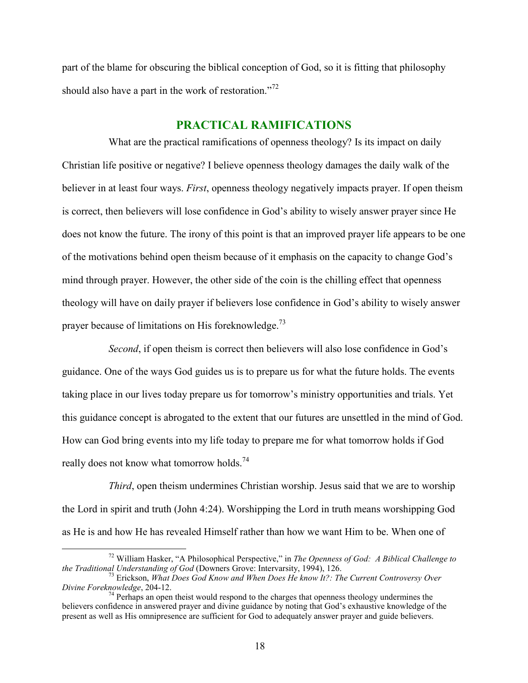part of the blame for obscuring the biblical conception of God, so it is fitting that philosophy should also have a part in the work of restoration."<sup>72</sup>

### **PRACTICAL RAMIFICATIONS**

What are the practical ramifications of openness theology? Is its impact on daily Christian life positive or negative? I believe openness theology damages the daily walk of the believer in at least four ways. *First*, openness theology negatively impacts prayer. If open theism is correct, then believers will lose confidence in God's ability to wisely answer prayer since He does not know the future. The irony of this point is that an improved prayer life appears to be one of the motivations behind open theism because of it emphasis on the capacity to change God's mind through prayer. However, the other side of the coin is the chilling effect that openness theology will have on daily prayer if believers lose confidence in God's ability to wisely answer prayer because of limitations on His foreknowledge.<sup>73</sup>

*Second*, if open theism is correct then believers will also lose confidence in God's guidance. One of the ways God guides us is to prepare us for what the future holds. The events taking place in our lives today prepare us for tomorrow's ministry opportunities and trials. Yet this guidance concept is abrogated to the extent that our futures are unsettled in the mind of God. How can God bring events into my life today to prepare me for what tomorrow holds if God really does not know what tomorrow holds.<sup>74</sup>

*Third*, open theism undermines Christian worship. Jesus said that we are to worship the Lord in spirit and truth (John 4:24). Worshipping the Lord in truth means worshipping God as He is and how He has revealed Himself rather than how we want Him to be. When one of

<sup>&</sup>lt;sup>72</sup> William Hasker, "A Philosophical Perspective," in *The Openness of God: A Biblical Challenge to* the Traditional Understanding of God (Downers Grove: Intervarsity, 1994), 126.

 $^{73}$  Erickson, What Does God Know and When Does He know It?: The Current Controversy Over Divine Foreknowledge, 204-12.

 $\frac{74}{7}$  Perhaps an open theist would respond to the charges that openness theology undermines the believers confidence in answered prayer and divine guidance by noting that God's exhaustive knowledge of the present as well as His omnipresence are sufficient for God to adequately answer prayer and guide believers.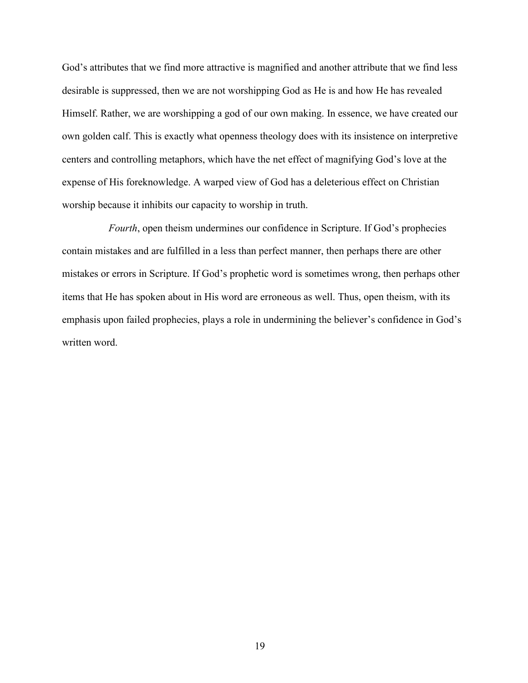God's attributes that we find more attractive is magnified and another attribute that we find less desirable is suppressed, then we are not worshipping God as He is and how He has revealed Himself. Rather, we are worshipping a god of our own making. In essence, we have created our own golden calf. This is exactly what openness theology does with its insistence on interpretive centers and controlling metaphors, which have the net effect of magnifying God's love at the expense of His foreknowledge. A warped view of God has a deleterious effect on Christian worship because it inhibits our capacity to worship in truth.

*Fourth*, open theism undermines our confidence in Scripture. If God's prophecies contain mistakes and are fulfilled in a less than perfect manner, then perhaps there are other mistakes or errors in Scripture. If God's prophetic word is sometimes wrong, then perhaps other items that He has spoken about in His word are erroneous as well. Thus, open theism, with its emphasis upon failed prophecies, plays a role in undermining the believer's confidence in God's written word.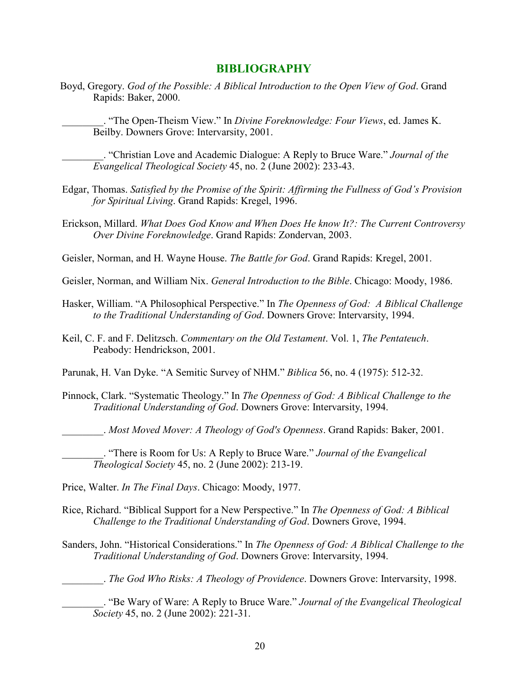#### **BIBLIOGRAPHY**

Boyd, Gregory. God of the Possible: A Biblical Introduction to the Open View of God. Grand Rapids: Baker, 2000.

"The Open-Theism View." In Divine Foreknowledge: Four Views, ed. James K. Beilby. Downers Grove: Intervarsity, 2001.

. "Christian Love and Academic Dialogue: A Reply to Bruce Ware." Journal of the Evangelical Theological Society 45, no. 2 (June 2002): 233-43.

- Edgar, Thomas. Satisfied by the Promise of the Spirit: Affirming the Fullness of God's Provision for Spiritual Living. Grand Rapids: Kregel, 1996.
- Erickson, Millard. What Does God Know and When Does He know It?: The Current Controversy Over Divine Foreknowledge. Grand Rapids: Zondervan, 2003.

Geisler, Norman, and H. Wayne House. The Battle for God. Grand Rapids: Kregel, 2001.

Geisler, Norman, and William Nix. *General Introduction to the Bible*. Chicago: Moody, 1986.

- Hasker, William. "A Philosophical Perspective." In The Openness of God: A Biblical Challenge to the Traditional Understanding of God. Downers Grove: Intervarsity, 1994.
- Keil, C. F. and F. Delitzsch. Commentary on the Old Testament. Vol. 1, The Pentateuch. Peabody: Hendrickson, 2001.

Parunak, H. Van Dyke. "A Semitic Survey of NHM." Biblica 56, no. 4 (1975): 512-32.

Pinnock, Clark. "Systematic Theology." In The Openness of God: A Biblical Challenge to the Traditional Understanding of God. Downers Grove: Intervarsity, 1994.

*Most Moved Mover: A Theology of God's Openness. Grand Rapids: Baker, 2001.* 

. "There is Room for Us: A Reply to Bruce Ware." Journal of the Evangelical Theological Society 45, no. 2 (June 2002): 213-19.

Price, Walter. In The Final Days. Chicago: Moody, 1977.

- Rice, Richard. "Biblical Support for a New Perspective." In The Openness of God: A Biblical Challenge to the Traditional Understanding of God. Downers Grove, 1994.
- Sanders, John. "Historical Considerations." In The Openness of God: A Biblical Challenge to the Traditional Understanding of God. Downers Grove: Intervarsity, 1994.

. The God Who Risks: A Theology of Providence. Downers Grove: Intervarsity, 1998.

. "Be Wary of Ware: A Reply to Bruce Ware." Journal of the Evangelical Theological Society 45, no. 2 (June 2002): 221-31.